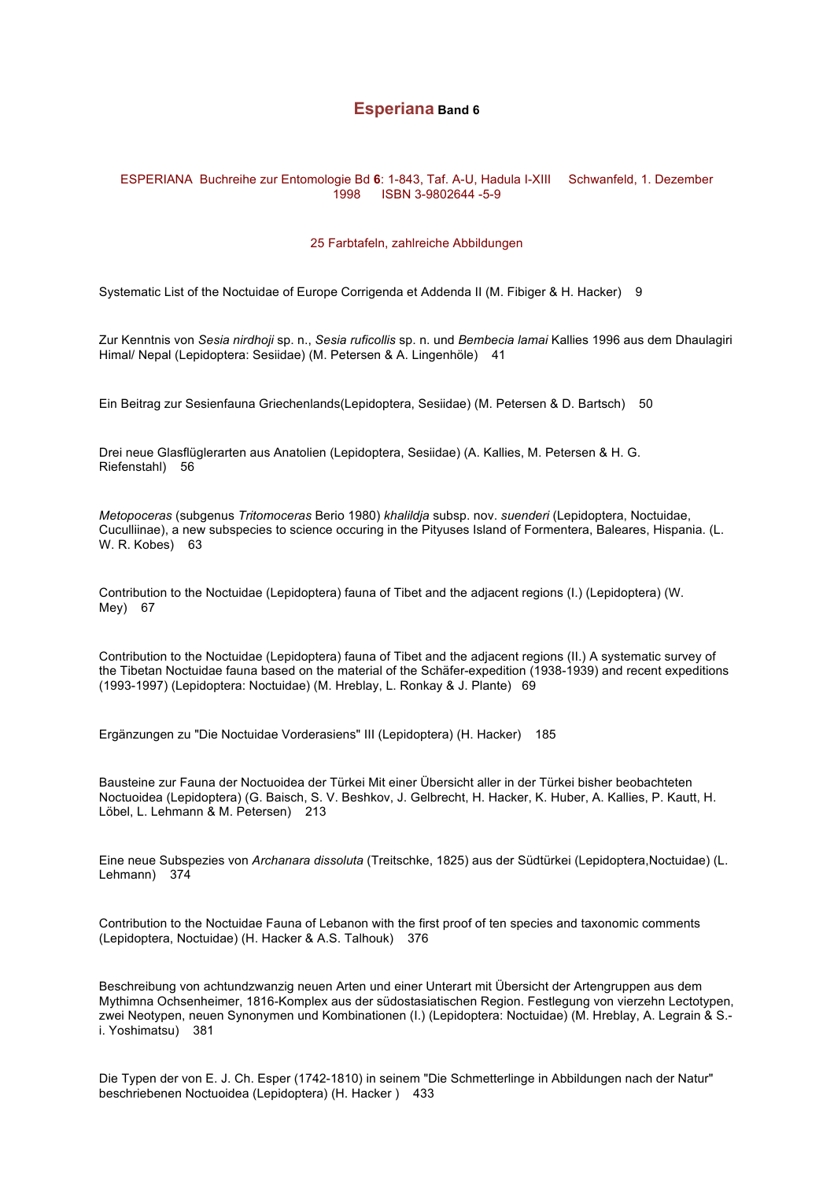# **Esperiana Band 6**

# ESPERIANA Buchreihe zur Entomologie Bd **6**: 1-843, Taf. A-U, Hadula I-XIII Schwanfeld, 1. Dezember 1998 ISBN 3-9802644 -5-9

# 25 Farbtafeln, zahlreiche Abbildungen

Systematic List of the Noctuidae of Europe Corrigenda et Addenda II (M. Fibiger & H. Hacker) 9

Zur Kenntnis von *Sesia nirdhoji* sp. n., *Sesia ruficollis* sp. n. und *Bembecia lamai* Kallies 1996 aus dem Dhaulagiri Himal/ Nepal (Lepidoptera: Sesiidae) (M. Petersen & A. Lingenhöle) 41

Ein Beitrag zur Sesienfauna Griechenlands(Lepidoptera, Sesiidae) (M. Petersen & D. Bartsch) 50

Drei neue Glasflüglerarten aus Anatolien (Lepidoptera, Sesiidae) (A. Kallies, M. Petersen & H. G. Riefenstahl) 56

*Metopoceras* (subgenus *Tritomoceras* Berio 1980) *khalildja* subsp. nov. *suenderi* (Lepidoptera, Noctuidae, Cuculliinae), a new subspecies to science occuring in the Pityuses Island of Formentera, Baleares, Hispania. (L. W. R. Kobes) 63

Contribution to the Noctuidae (Lepidoptera) fauna of Tibet and the adjacent regions (I.) (Lepidoptera) (W. Mey) 67

Contribution to the Noctuidae (Lepidoptera) fauna of Tibet and the adjacent regions (II.) A systematic survey of the Tibetan Noctuidae fauna based on the material of the Schäfer-expedition (1938-1939) and recent expeditions (1993-1997) (Lepidoptera: Noctuidae) (M. Hreblay, L. Ronkay & J. Plante) 69

Ergänzungen zu "Die Noctuidae Vorderasiens" III (Lepidoptera) (H. Hacker) 185

Bausteine zur Fauna der Noctuoidea der Türkei Mit einer Übersicht aller in der Türkei bisher beobachteten Noctuoidea (Lepidoptera) (G. Baisch, S. V. Beshkov, J. Gelbrecht, H. Hacker, K. Huber, A. Kallies, P. Kautt, H. Löbel, L. Lehmann & M. Petersen) 213

Eine neue Subspezies von *Archanara dissoluta* (Treitschke, 1825) aus der Südtürkei (Lepidoptera,Noctuidae) (L. Lehmann) 374

Contribution to the Noctuidae Fauna of Lebanon with the first proof of ten species and taxonomic comments (Lepidoptera, Noctuidae) (H. Hacker & A.S. Talhouk) 376

Beschreibung von achtundzwanzig neuen Arten und einer Unterart mit Übersicht der Artengruppen aus dem Mythimna Ochsenheimer, 1816-Komplex aus der südostasiatischen Region. Festlegung von vierzehn Lectotypen, zwei Neotypen, neuen Synonymen und Kombinationen (I.) (Lepidoptera: Noctuidae) (M. Hreblay, A. Legrain & S. i. Yoshimatsu) 381

Die Typen der von E. J. Ch. Esper (1742-1810) in seinem "Die Schmetterlinge in Abbildungen nach der Natur" beschriebenen Noctuoidea (Lepidoptera) (H. Hacker ) 433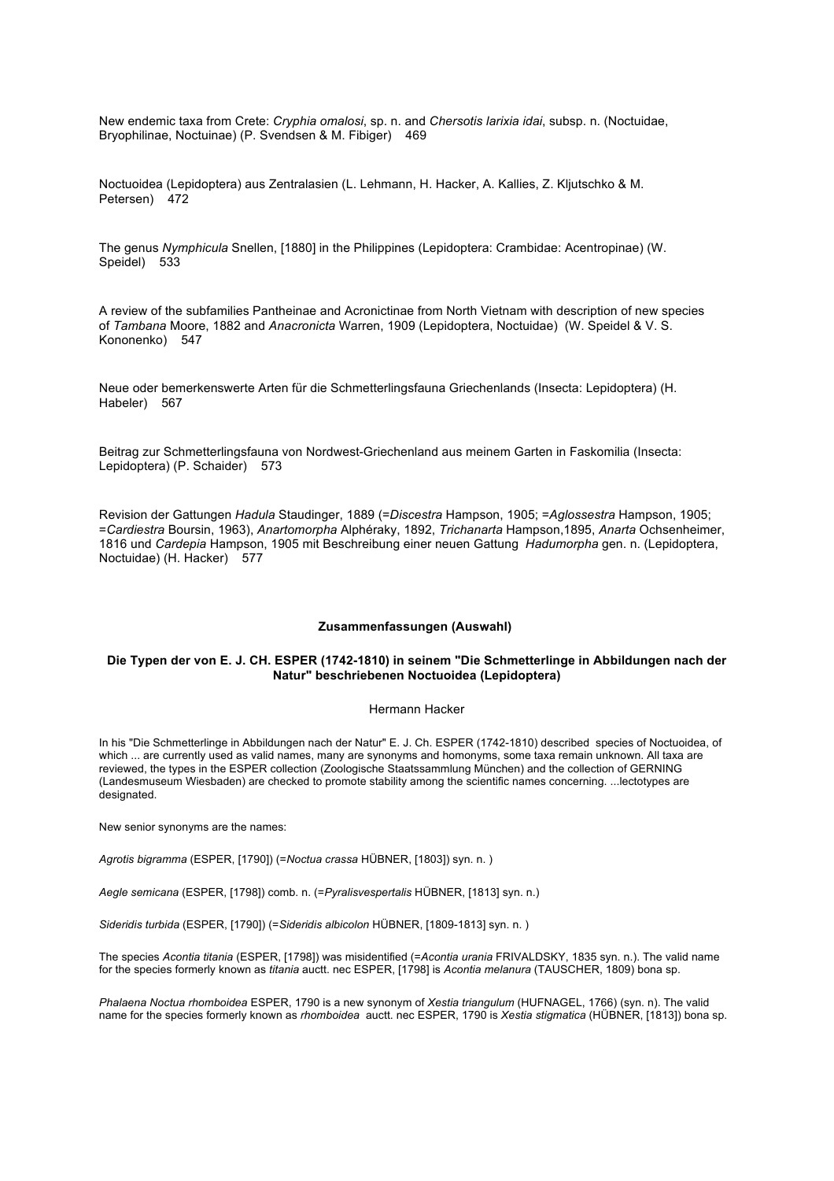New endemic taxa from Crete: *Cryphia omalosi*, sp. n. and *Chersotis larixia idai*, subsp. n. (Noctuidae, Bryophilinae, Noctuinae) (P. Svendsen & M. Fibiger) 469

Noctuoidea (Lepidoptera) aus Zentralasien (L. Lehmann, H. Hacker, A. Kallies, Z. Kljutschko & M. Petersen) 472

The genus *Nymphicula* Snellen, [1880] in the Philippines (Lepidoptera: Crambidae: Acentropinae) (W. Speidel) 533

A review of the subfamilies Pantheinae and Acronictinae from North Vietnam with description of new species of *Tambana* Moore, 1882 and *Anacronicta* Warren, 1909 (Lepidoptera, Noctuidae) (W. Speidel & V. S. Kononenko) 547

Neue oder bemerkenswerte Arten für die Schmetterlingsfauna Griechenlands (Insecta: Lepidoptera) (H. Habeler) 567

Beitrag zur Schmetterlingsfauna von Nordwest-Griechenland aus meinem Garten in Faskomilia (Insecta: Lepidoptera) (P. Schaider) 573

Revision der Gattungen *Hadula* Staudinger, 1889 (=*Discestra* Hampson, 1905; =*Aglossestra* Hampson, 1905; =*Cardiestra* Boursin, 1963), *Anartomorpha* Alphéraky, 1892, *Trichanarta* Hampson,1895, *Anarta* Ochsenheimer, 1816 und *Cardepia* Hampson, 1905 mit Beschreibung einer neuen Gattung *Hadumorpha* gen. n. (Lepidoptera, Noctuidae) (H. Hacker) 577

### **Zusammenfassungen (Auswahl)**

# **Die Typen der von E. J. CH. ESPER (1742-1810) in seinem "Die Schmetterlinge in Abbildungen nach der Natur" beschriebenen Noctuoidea (Lepidoptera)**

### Hermann Hacker

In his "Die Schmetterlinge in Abbildungen nach der Natur" E. J. Ch. ESPER (1742-1810) described species of Noctuoidea, of which ... are currently used as valid names, many are synonyms and homonyms, some taxa remain unknown. All taxa are reviewed, the types in the ESPER collection (Zoologische Staatssammlung München) and the collection of GERNING (Landesmuseum Wiesbaden) are checked to promote stability among the scientific names concerning. ...lectotypes are designated.

New senior synonyms are the names:

*Agrotis bigramma* (ESPER, [1790]) (=*Noctua crassa* HÜBNER, [1803]) syn. n. )

*Aegle semicana* (ESPER, [1798]) comb. n. (=*Pyralisvespertalis* HÜBNER, [1813] syn. n.)

*Sideridis turbida* (ESPER, [1790]) (=*Sideridis albicolon* HÜBNER, [1809-1813] syn. n. )

The species *Acontia titania* (ESPER, [1798]) was misidentified (=*Acontia urania* FRIVALDSKY, 1835 syn. n.). The valid name for the species formerly known as *titania* auctt. nec ESPER, [1798] is *Acontia melanura* (TAUSCHER, 1809) bona sp.

*Phalaena Noctua rhomboidea* ESPER, 1790 is a new synonym of *Xestia triangulum* (HUFNAGEL, 1766) (syn. n). The valid name for the species formerly known as *rhomboidea* auctt. nec ESPER, 1790 is *Xestia stigmatica* (HÜBNER, [1813]) bona sp.